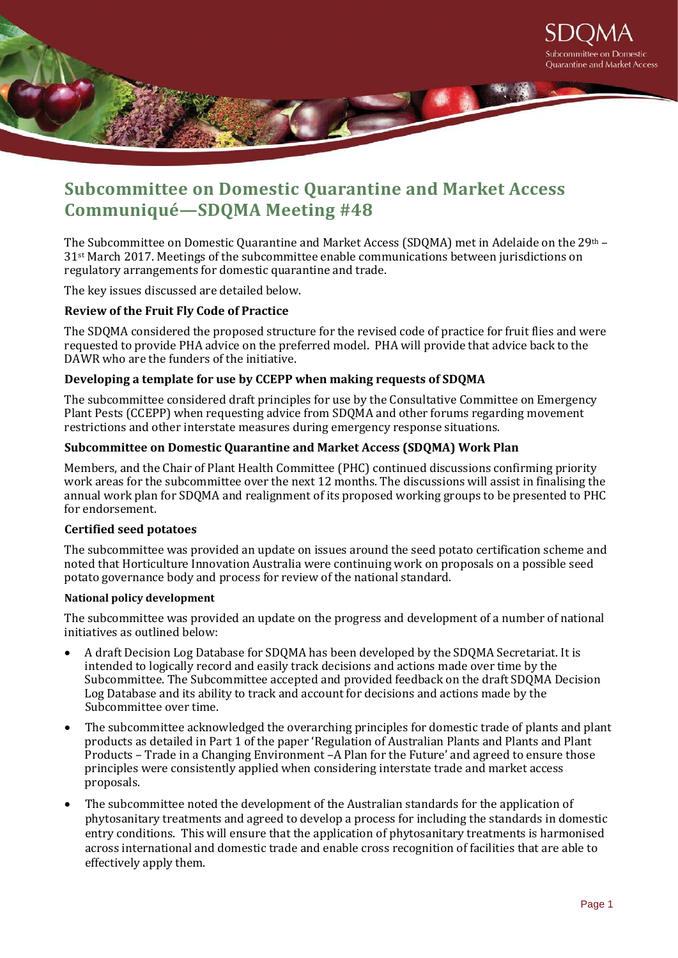

# **Subcommittee on Domestic Quarantine and Market Access Communiqué—SDQMA Meeting #48**

The Subcommittee on Domestic Quarantine and Market Access (SDQMA) met in Adelaide on the 29th – 31st March 2017. Meetings of the subcommittee enable communications between jurisdictions on regulatory arrangements for domestic quarantine and trade.

The key issues discussed are detailed below.

## **Review of the Fruit Fly Code of Practice**

The SDQMA considered the proposed structure for the revised code of practice for fruit flies and were requested to provide PHA advice on the preferred model. PHA will provide that advice back to the DAWR who are the funders of the initiative.

## **Developing a template for use by CCEPP when making requests of SDQMA**

The subcommittee considered draft principles for use by the Consultative Committee on Emergency Plant Pests (CCEPP) when requesting advice from SDQMA and other forums regarding movement restrictions and other interstate measures during emergency response situations.

## **Subcommittee on Domestic Quarantine and Market Access (SDQMA) Work Plan**

Members, and the Chair of Plant Health Committee (PHC) continued discussions confirming priority work areas for the subcommittee over the next 12 months. The discussions will assist in finalising the annual work plan for SDQMA and realignment of its proposed working groups to be presented to PHC for endorsement.

## **Certified seed potatoes**

The subcommittee was provided an update on issues around the seed potato certification scheme and noted that Horticulture Innovation Australia were continuing work on proposals on a possible seed potato governance body and process for review of the national standard.

## **National policy development**

The subcommittee was provided an update on the progress and development of a number of national initiatives as outlined below:

- A draft Decision Log Database for SDQMA has been developed by the SDQMA Secretariat. It is intended to logically record and easily track decisions and actions made over time by the Subcommittee. The Subcommittee accepted and provided feedback on the draft SDQMA Decision Log Database and its ability to track and account for decisions and actions made by the Subcommittee over time.
- The subcommittee acknowledged the overarching principles for domestic trade of plants and plant products as detailed in Part 1 of the paper 'Regulation of Australian Plants and Plants and Plant Products – Trade in a Changing Environment –A Plan for the Future' and agreed to ensure those principles were consistently applied when considering interstate trade and market access proposals.
- The subcommittee noted the development of the Australian standards for the application of phytosanitary treatments and agreed to develop a process for including the standards in domestic entry conditions. This will ensure that the application of phytosanitary treatments is harmonised across international and domestic trade and enable cross recognition of facilities that are able to effectively apply them.